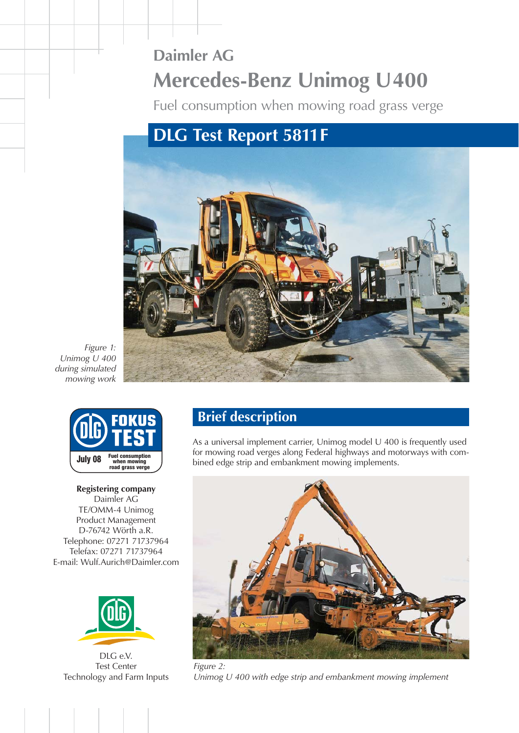# **Daimler AG Mercedes-Benz Unimog U400**

Fuel consumption when mowing road grass verge

# **DLG Test Report 5811 F**



*Figure 1: Unimog U 400 during simulated mowing work*



**Registering company** Daimler AG TE/OMM-4 Unimog Product Management D-76742 Wörth a.R. Telephone: 07271 71737964 Telefax: 07271 71737964 E-mail: Wulf.Aurich@Daimler.com



DLG e.V. Test Center [Technology and Farm Inputs](http://www.dlg-test.de)

### **Brief description**

As a universal implement carrier, Unimog model U 400 is frequently used for mowing road verges along Federal highways and motorways with com-**July 08 Examplement consumption** bined edge strip and embankment mowing implements.



*Unimog U 400 with edge strip and embankment mowing implement*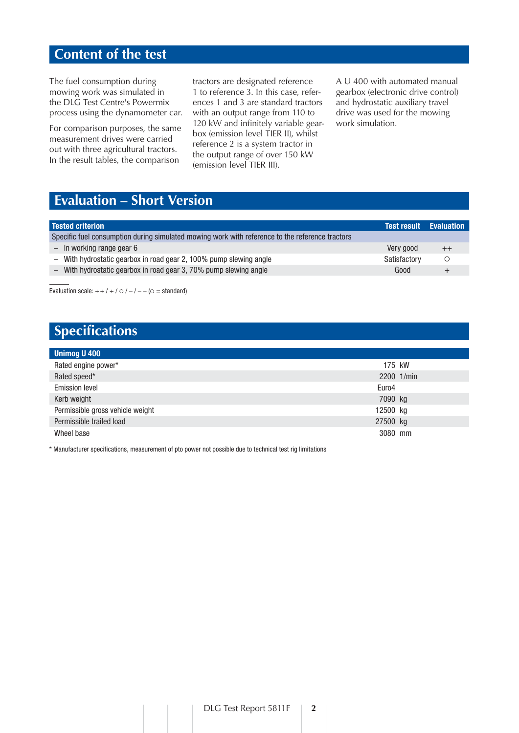#### **Content of the test**

The fuel consumption during mowing work was simulated in the DLG Test Centre's Powermix process using the dynamometer car.

For comparison purposes, the same measurement drives were carried out with three agricultural tractors. In the result tables, the comparison

tractors are designated reference 1 to reference 3. In this case, references 1 and 3 are standard tractors with an output range from 110 to 120 kW and infinitely variable gearbox (emission level TIER II), whilst reference 2 is a system tractor in the output range of over 150 kW (emission level TIER III).

A U 400 with automated manual gearbox (electronic drive control) and hydrostatic auxiliary travel drive was used for the mowing work simulation.

## **Evaluation – Short Version**

| <b>Tested criterion</b>                                                                         |                                                                    |              | Test result Evaluation |  |  |  |  |
|-------------------------------------------------------------------------------------------------|--------------------------------------------------------------------|--------------|------------------------|--|--|--|--|
| Specific fuel consumption during simulated mowing work with reference to the reference tractors |                                                                    |              |                        |  |  |  |  |
|                                                                                                 | $-$ In working range gear 6                                        | Very good    | $^{++}$                |  |  |  |  |
|                                                                                                 | - With hydrostatic gearbox in road gear 2, 100% pump slewing angle | Satisfactory |                        |  |  |  |  |
|                                                                                                 | With hydrostatic gearbox in road gear 3, 70% pump slewing angle    | Good         |                        |  |  |  |  |

Evaluation scale:  $++/+/-$  /  $\bigcirc$  /  $-/-$  ( $\bigcirc$  = standard)

# **Specifications**

| <b>Unimog U 400</b>              |          |            |  |  |  |  |
|----------------------------------|----------|------------|--|--|--|--|
| Rated engine power*              | 175 kW   |            |  |  |  |  |
| Rated speed*                     |          | 2200 1/min |  |  |  |  |
| <b>Emission level</b>            | Euro4    |            |  |  |  |  |
| Kerb weight                      | 7090 kg  |            |  |  |  |  |
| Permissible gross vehicle weight | 12500 kg |            |  |  |  |  |
| Permissible trailed load         | 27500 kg |            |  |  |  |  |
| Wheel base                       | 3080 mm  |            |  |  |  |  |

\* Manufacturer specifications, measurement of pto power not possible due to technical test rig limitations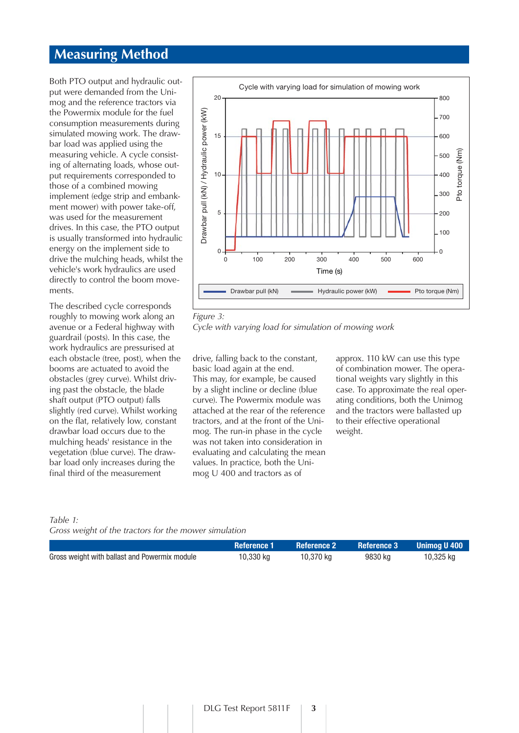#### **Measuring Method**

Both PTO output and hydraulic output were demanded from the Unimog and the reference tractors via the Powermix module for the fuel consumption measurements during simulated mowing work. The drawbar load was applied using the measuring vehicle. A cycle consisting of alternating loads, whose output requirements corresponded to those of a combined mowing implement (edge strip and embankment mower) with power take-off, was used for the measurement drives. In this case, the PTO output is usually transformed into hydraulic energy on the implement side to drive the mulching heads, whilst the vehicle's work hydraulics are used directly to control the boom movements.

The described cycle corresponds roughly to mowing work along an avenue or a Federal highway with guardrail (posts). In this case, the work hydraulics are pressurised at each obstacle (tree, post), when the booms are actuated to avoid the obstacles (grey curve). Whilst driving past the obstacle, the blade shaft output (PTO output) falls slightly (red curve). Whilst working on the flat, relatively low, constant drawbar load occurs due to the mulching heads' resistance in the vegetation (blue curve). The drawbar load only increases during the final third of the measurement



#### *Figure 3:*

*Cycle with varying load for simulation of mowing work*

drive, falling back to the constant, basic load again at the end. This may, for example, be caused by a slight incline or decline (blue curve). The Powermix module was attached at the rear of the reference tractors, and at the front of the Unimog. The run-in phase in the cycle was not taken into consideration in evaluating and calculating the mean values. In practice, both the Unimog U 400 and tractors as of

approx. 110 kW can use this type of combination mower. The operational weights vary slightly in this case. To approximate the real operating conditions, both the Unimog and the tractors were ballasted up to their effective operational weight.

#### *Table 1:*

*Gross weight of the tractors for the mower simulation* 

|                                               | <b>Reference 1</b> | <b>Reference 2</b> | <b>Reference 3</b> | - Unimoa U 400 |
|-----------------------------------------------|--------------------|--------------------|--------------------|----------------|
| Gross weight with ballast and Powermix module | 10,330 kg          | 10,370 kg          | 9830 kg            | 10,325 kg      |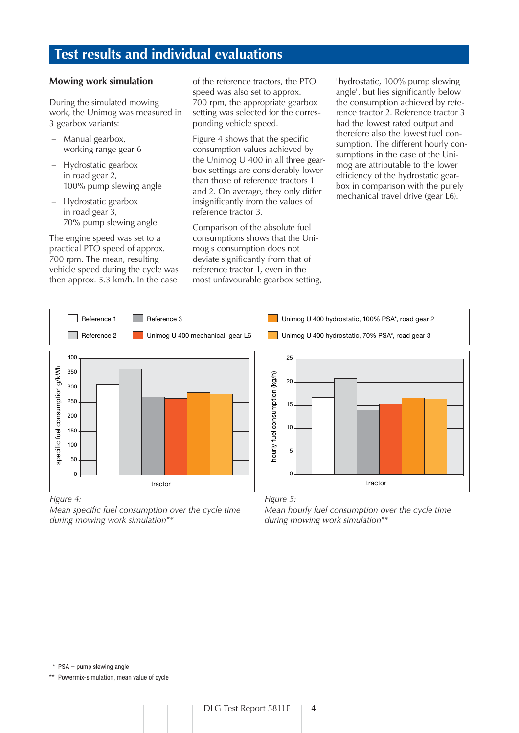## **Test results and individual evaluations**

#### **Mowing work simulation**

During the simulated mowing work, the Unimog was measured in 3 gearbox variants:

- Manual gearbox, working range gear 6
- Hydrostatic gearbox in road gear 2, 100% pump slewing angle
- Hydrostatic gearbox in road gear 3, 70% pump slewing angle

The engine speed was set to a practical PTO speed of approx. 700 rpm. The mean, resulting vehicle speed during the cycle was then approx. 5.3 km/h. In the case

of the reference tractors, the PTO speed was also set to approx. 700 rpm, the appropriate gearbox setting was selected for the corresponding vehicle speed.

Figure 4 shows that the specific consumption values achieved by the Unimog U 400 in all three gearbox settings are considerably lower than those of reference tractors 1 and 2. On average, they only differ insignificantly from the values of reference tractor 3.

Comparison of the absolute fuel consumptions shows that the Unimog's consumption does not deviate significantly from that of reference tractor 1, even in the most unfavourable gearbox setting,

"hydrostatic, 100% pump slewing angle", but lies significantly below the consumption achieved by reference tractor 2. Reference tractor 3 had the lowest rated output and therefore also the lowest fuel consumption. The different hourly consumptions in the case of the Unimog are attributable to the lower efficiency of the hydrostatic gearbox in comparison with the purely mechanical travel drive (gear L6).



*Mean specific fuel consumption over the cycle time during mowing work simulation\*\**

*Mean hourly fuel consumption over the cycle time during mowing work simulation\*\**

 $*$  PSA = pump slewing angle

\*\* Powermix-simulation, mean value of cycle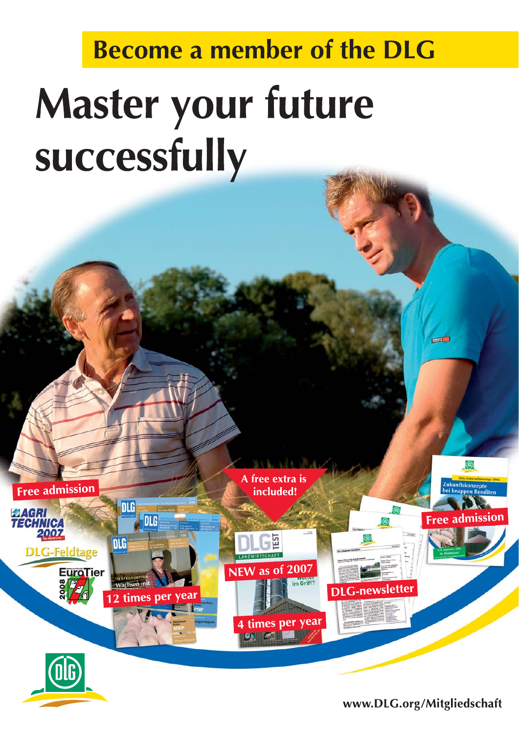# **Become a member of the DLG**

# Master your future successfully

A free extra is Free admission included! DLG **ELAGRI<br>TECHNICA<br>2007** ree admission DLG **EST** DLG **DLG-Feldtage** NEW as of 2007 **EuroTier** im Griff? **DLG-newsletter** times per 4 times per year

www.DLG.org/Mitgliedschaft

**RANCH**